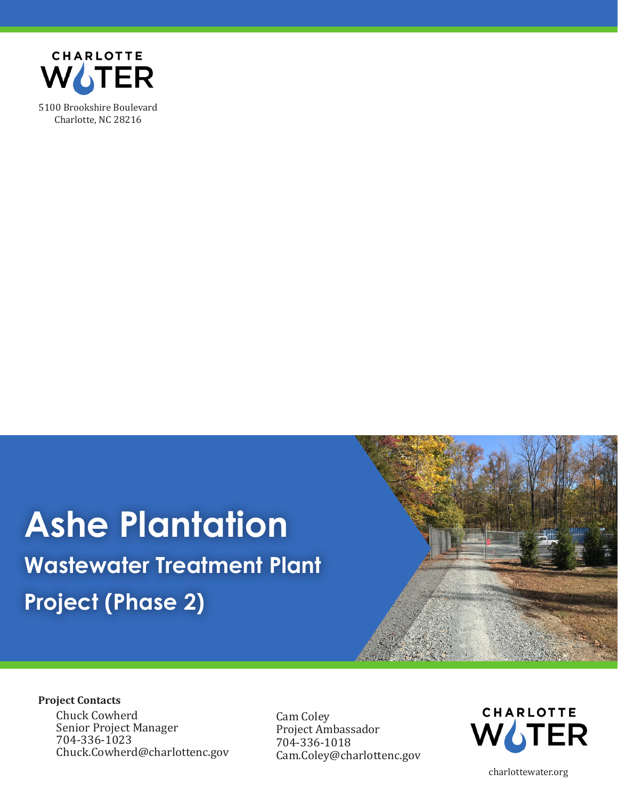

## **Ashe Plantation Wastewater Treatment Plant Project (Phase 2)**



## **Project Contacts**

Chuck Cowherd<br>
Senior Project Manager<br>
Cam Coley<br>
Project Ambassador  $704-336-1023$ <br>Chuck.Cowherd@charlottenc.gov  $\begin{array}{c} 704-336-1018 \\ \text{Chuck.} \end{array}$ 

[Cam.Coley@charlottenc.gov](mailto:Cam.Coley@charlottenc.gov)



[charlottewater.org](https://charlottewater.org)